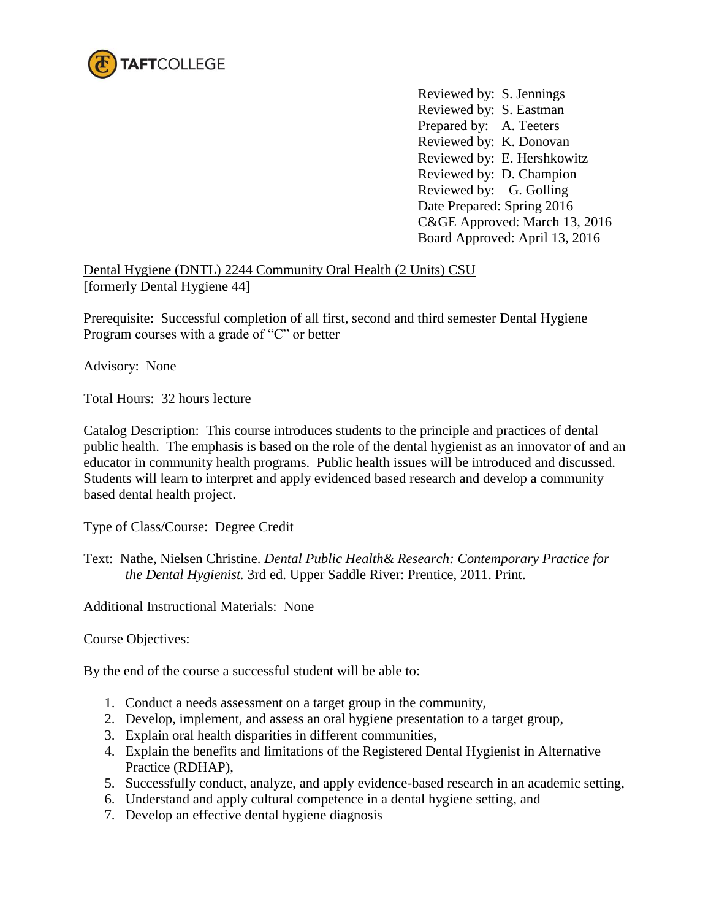

Reviewed by: S. Jennings Reviewed by: S. Eastman Prepared by: A. Teeters Reviewed by: K. Donovan Reviewed by: E. Hershkowitz Reviewed by: D. Champion Reviewed by: G. Golling Date Prepared: Spring 2016 C&GE Approved: March 13, 2016 Board Approved: April 13, 2016

Dental Hygiene (DNTL) 2244 Community Oral Health (2 Units) CSU [formerly Dental Hygiene 44]

Prerequisite: Successful completion of all first, second and third semester Dental Hygiene Program courses with a grade of "C" or better

Advisory: None

Total Hours: 32 hours lecture

Catalog Description: This course introduces students to the principle and practices of dental public health. The emphasis is based on the role of the dental hygienist as an innovator of and an educator in community health programs. Public health issues will be introduced and discussed. Students will learn to interpret and apply evidenced based research and develop a community based dental health project.

Type of Class/Course: Degree Credit

Text: Nathe, Nielsen Christine. *Dental Public Health& Research: Contemporary Practice for the Dental Hygienist.* 3rd ed. Upper Saddle River: Prentice, 2011. Print.

Additional Instructional Materials: None

Course Objectives:

By the end of the course a successful student will be able to:

- 1. Conduct a needs assessment on a target group in the community,
- 2. Develop, implement, and assess an oral hygiene presentation to a target group,
- 3. Explain oral health disparities in different communities,
- 4. Explain the benefits and limitations of the Registered Dental Hygienist in Alternative Practice (RDHAP),
- 5. Successfully conduct, analyze, and apply evidence-based research in an academic setting,
- 6. Understand and apply cultural competence in a dental hygiene setting, and
- 7. Develop an effective dental hygiene diagnosis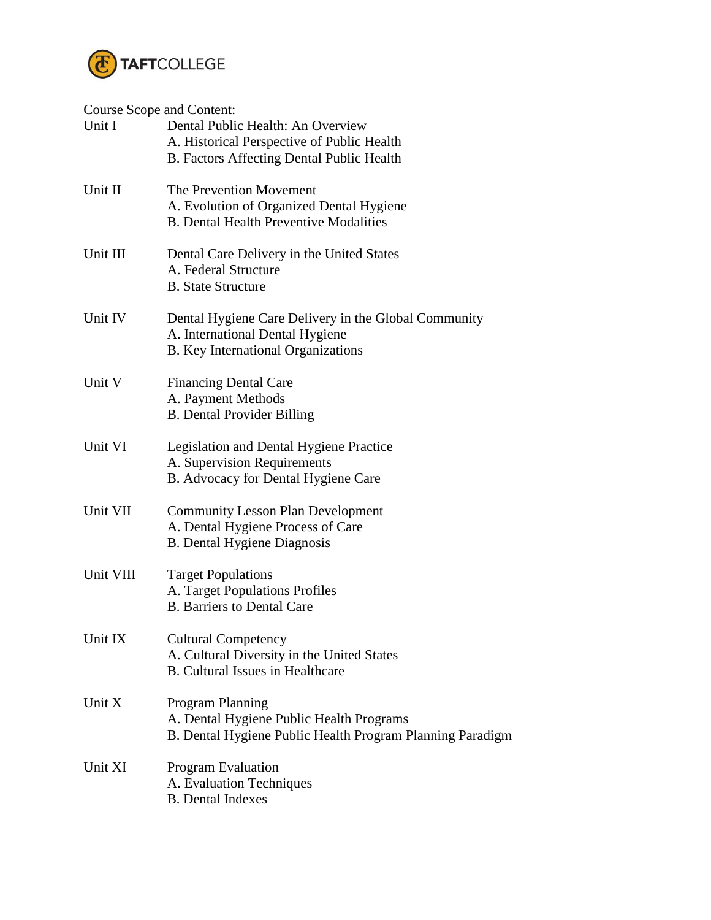

## Course Scope and Content:

| Course Scope and Content.<br>Unit I | Dental Public Health: An Overview<br>A. Historical Perspective of Public Health<br>B. Factors Affecting Dental Public Health  |
|-------------------------------------|-------------------------------------------------------------------------------------------------------------------------------|
| Unit II                             | The Prevention Movement<br>A. Evolution of Organized Dental Hygiene<br><b>B.</b> Dental Health Preventive Modalities          |
| Unit III                            | Dental Care Delivery in the United States<br>A. Federal Structure<br><b>B.</b> State Structure                                |
| Unit IV                             | Dental Hygiene Care Delivery in the Global Community<br>A. International Dental Hygiene<br>B. Key International Organizations |
| Unit V                              | <b>Financing Dental Care</b><br>A. Payment Methods<br><b>B.</b> Dental Provider Billing                                       |
| Unit VI                             | Legislation and Dental Hygiene Practice<br>A. Supervision Requirements<br>B. Advocacy for Dental Hygiene Care                 |
| Unit VII                            | <b>Community Lesson Plan Development</b><br>A. Dental Hygiene Process of Care<br><b>B.</b> Dental Hygiene Diagnosis           |
| Unit VIII                           | <b>Target Populations</b><br>A. Target Populations Profiles<br><b>B.</b> Barriers to Dental Care                              |
| Unit IX                             | <b>Cultural Competency</b><br>A. Cultural Diversity in the United States<br><b>B.</b> Cultural Issues in Healthcare           |
| Unit X                              | Program Planning<br>A. Dental Hygiene Public Health Programs<br>B. Dental Hygiene Public Health Program Planning Paradigm     |
| Unit XI                             | <b>Program Evaluation</b><br>A. Evaluation Techniques<br><b>B.</b> Dental Indexes                                             |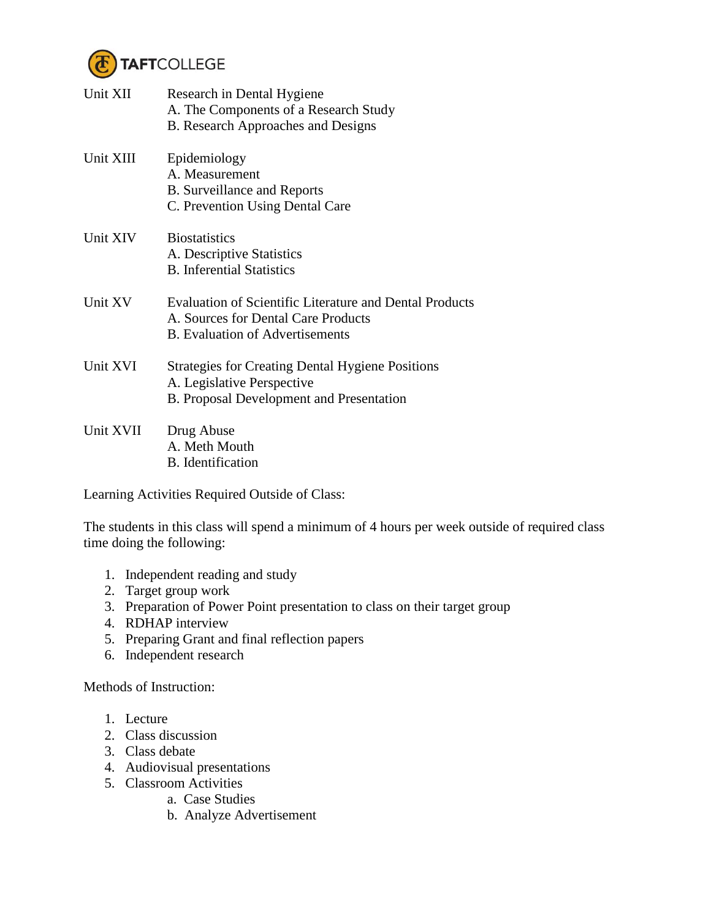

| Unit XII  | Research in Dental Hygiene<br>A. The Components of a Research Study<br><b>B.</b> Research Approaches and Designs                                |
|-----------|-------------------------------------------------------------------------------------------------------------------------------------------------|
| Unit XIII | Epidemiology<br>A. Measurement<br><b>B.</b> Surveillance and Reports<br>C. Prevention Using Dental Care                                         |
| Unit XIV  | <b>Biostatistics</b><br>A. Descriptive Statistics<br><b>B.</b> Inferential Statistics                                                           |
| Unit XV   | <b>Evaluation of Scientific Literature and Dental Products</b><br>A. Sources for Dental Care Products<br><b>B.</b> Evaluation of Advertisements |
| Unit XVI  | <b>Strategies for Creating Dental Hygiene Positions</b><br>A. Legislative Perspective<br><b>B.</b> Proposal Development and Presentation        |
| Unit XVII | Drug Abuse<br>A. Meth Mouth<br>B. Identification                                                                                                |

Learning Activities Required Outside of Class:

The students in this class will spend a minimum of 4 hours per week outside of required class time doing the following:

- 1. Independent reading and study
- 2. Target group work
- 3. Preparation of Power Point presentation to class on their target group
- 4. RDHAP interview
- 5. Preparing Grant and final reflection papers
- 6. Independent research

Methods of Instruction:

- 1. Lecture
- 2. Class discussion
- 3. Class debate
- 4. Audiovisual presentations
- 5. Classroom Activities
	- a. Case Studies
	- b. Analyze Advertisement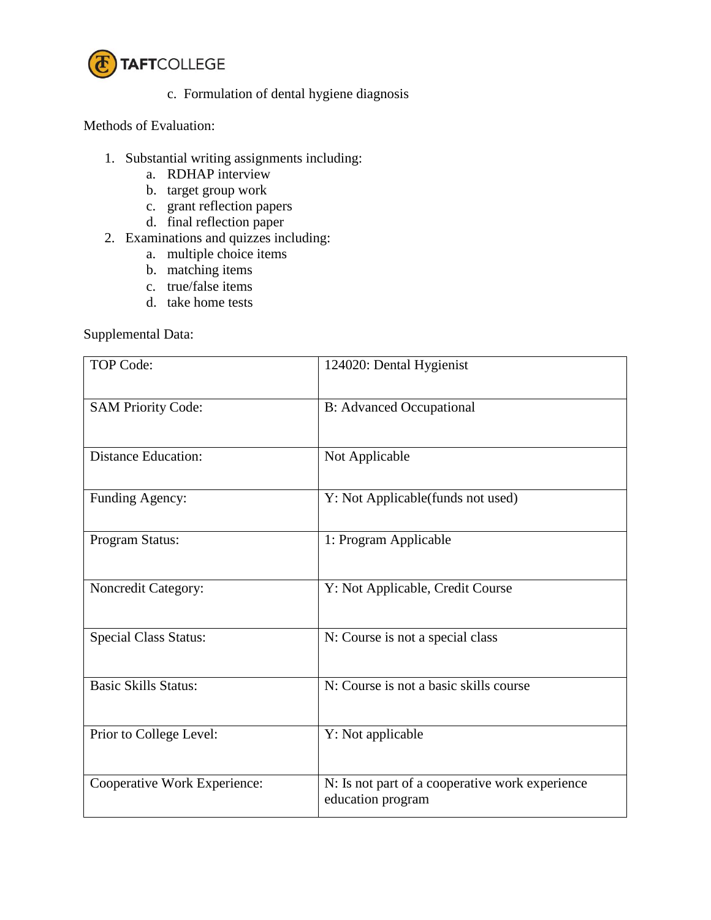

c. Formulation of dental hygiene diagnosis

Methods of Evaluation:

- 1. Substantial writing assignments including:
	- a. RDHAP interview
	- b. target group work
	- c. grant reflection papers
	- d. final reflection paper
- 2. Examinations and quizzes including:
	- a. multiple choice items
	- b. matching items
	- c. true/false items
	- d. take home tests

Supplemental Data:

| <b>TOP Code:</b>             | 124020: Dental Hygienist                                             |
|------------------------------|----------------------------------------------------------------------|
| <b>SAM Priority Code:</b>    | <b>B:</b> Advanced Occupational                                      |
| <b>Distance Education:</b>   | Not Applicable                                                       |
| Funding Agency:              | Y: Not Applicable(funds not used)                                    |
| Program Status:              | 1: Program Applicable                                                |
| Noncredit Category:          | Y: Not Applicable, Credit Course                                     |
| <b>Special Class Status:</b> | N: Course is not a special class                                     |
| <b>Basic Skills Status:</b>  | N: Course is not a basic skills course                               |
| Prior to College Level:      | Y: Not applicable                                                    |
| Cooperative Work Experience: | N: Is not part of a cooperative work experience<br>education program |